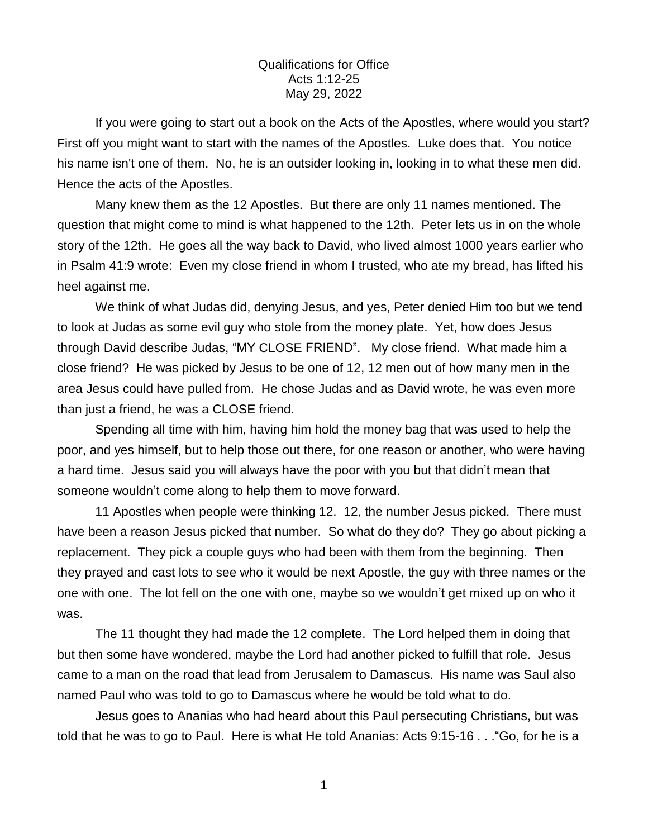## Qualifications for Office Acts 1:12-25 May 29, 2022

If you were going to start out a book on the Acts of the Apostles, where would you start? First off you might want to start with the names of the Apostles. Luke does that. You notice his name isn't one of them. No, he is an outsider looking in, looking in to what these men did. Hence the acts of the Apostles.

Many knew them as the 12 Apostles. But there are only 11 names mentioned. The question that might come to mind is what happened to the 12th. Peter lets us in on the whole story of the 12th. He goes all the way back to David, who lived almost 1000 years earlier who in Psalm 41:9 wrote: Even my close friend in whom I trusted, who ate my bread, has lifted his heel against me.

We think of what Judas did, denying Jesus, and yes, Peter denied Him too but we tend to look at Judas as some evil guy who stole from the money plate. Yet, how does Jesus through David describe Judas, "MY CLOSE FRIEND". My close friend. What made him a close friend? He was picked by Jesus to be one of 12, 12 men out of how many men in the area Jesus could have pulled from. He chose Judas and as David wrote, he was even more than just a friend, he was a CLOSE friend.

Spending all time with him, having him hold the money bag that was used to help the poor, and yes himself, but to help those out there, for one reason or another, who were having a hard time. Jesus said you will always have the poor with you but that didn't mean that someone wouldn't come along to help them to move forward.

11 Apostles when people were thinking 12. 12, the number Jesus picked. There must have been a reason Jesus picked that number. So what do they do? They go about picking a replacement. They pick a couple guys who had been with them from the beginning. Then they prayed and cast lots to see who it would be next Apostle, the guy with three names or the one with one. The lot fell on the one with one, maybe so we wouldn't get mixed up on who it was.

The 11 thought they had made the 12 complete. The Lord helped them in doing that but then some have wondered, maybe the Lord had another picked to fulfill that role. Jesus came to a man on the road that lead from Jerusalem to Damascus. His name was Saul also named Paul who was told to go to Damascus where he would be told what to do.

Jesus goes to Ananias who had heard about this Paul persecuting Christians, but was told that he was to go to Paul. Here is what He told Ananias: Acts 9:15-16 . . ."Go, for he is a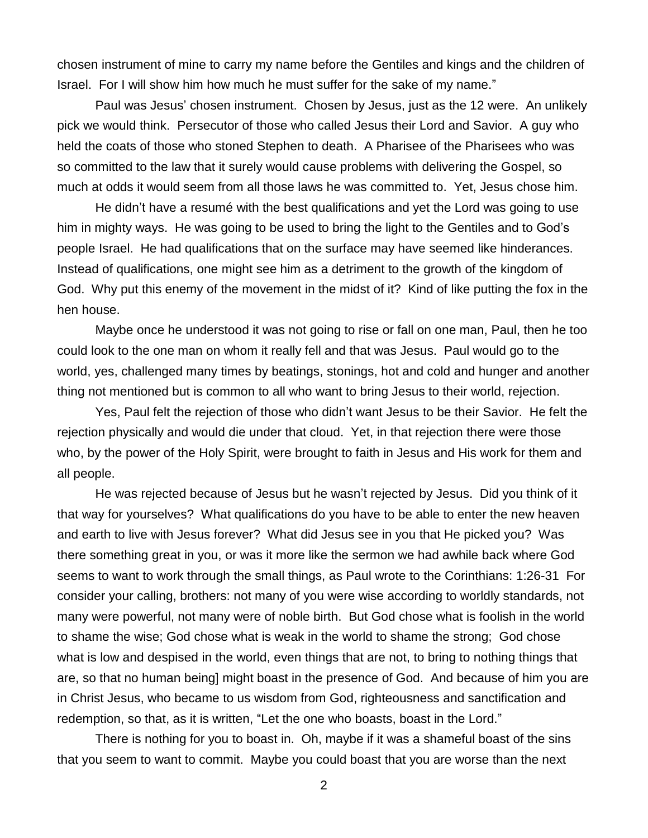chosen instrument of mine to carry my name before the Gentiles and kings and the children of Israel. For I will show him how much he must suffer for the sake of my name."

Paul was Jesus' chosen instrument. Chosen by Jesus, just as the 12 were. An unlikely pick we would think. Persecutor of those who called Jesus their Lord and Savior. A guy who held the coats of those who stoned Stephen to death. A Pharisee of the Pharisees who was so committed to the law that it surely would cause problems with delivering the Gospel, so much at odds it would seem from all those laws he was committed to. Yet, Jesus chose him.

He didn't have a resumé with the best qualifications and yet the Lord was going to use him in mighty ways. He was going to be used to bring the light to the Gentiles and to God's people Israel. He had qualifications that on the surface may have seemed like hinderances. Instead of qualifications, one might see him as a detriment to the growth of the kingdom of God. Why put this enemy of the movement in the midst of it? Kind of like putting the fox in the hen house.

Maybe once he understood it was not going to rise or fall on one man, Paul, then he too could look to the one man on whom it really fell and that was Jesus. Paul would go to the world, yes, challenged many times by beatings, stonings, hot and cold and hunger and another thing not mentioned but is common to all who want to bring Jesus to their world, rejection.

Yes, Paul felt the rejection of those who didn't want Jesus to be their Savior. He felt the rejection physically and would die under that cloud. Yet, in that rejection there were those who, by the power of the Holy Spirit, were brought to faith in Jesus and His work for them and all people.

He was rejected because of Jesus but he wasn't rejected by Jesus. Did you think of it that way for yourselves? What qualifications do you have to be able to enter the new heaven and earth to live with Jesus forever? What did Jesus see in you that He picked you? Was there something great in you, or was it more like the sermon we had awhile back where God seems to want to work through the small things, as Paul wrote to the Corinthians: 1:26-31 For consider your calling, brothers: not many of you were wise according to worldly standards, not many were powerful, not many were of noble birth. But God chose what is foolish in the world to shame the wise; God chose what is weak in the world to shame the strong; God chose what is low and despised in the world, even things that are not, to bring to nothing things that are, so that no human being] might boast in the presence of God. And because of him you are in Christ Jesus, who became to us wisdom from God, righteousness and sanctification and redemption, so that, as it is written, "Let the one who boasts, boast in the Lord."

There is nothing for you to boast in. Oh, maybe if it was a shameful boast of the sins that you seem to want to commit. Maybe you could boast that you are worse than the next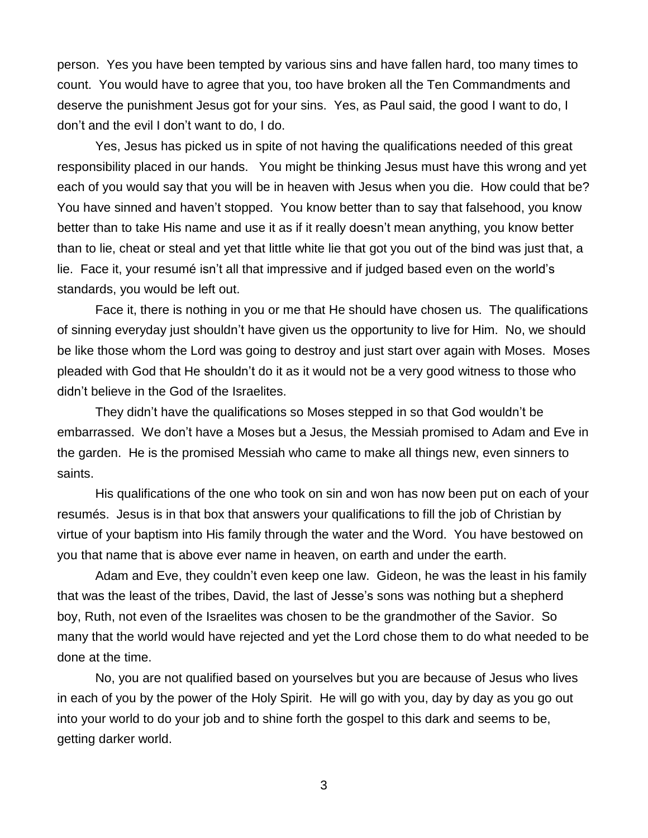person. Yes you have been tempted by various sins and have fallen hard, too many times to count. You would have to agree that you, too have broken all the Ten Commandments and deserve the punishment Jesus got for your sins. Yes, as Paul said, the good I want to do, I don't and the evil I don't want to do, I do.

Yes, Jesus has picked us in spite of not having the qualifications needed of this great responsibility placed in our hands. You might be thinking Jesus must have this wrong and yet each of you would say that you will be in heaven with Jesus when you die. How could that be? You have sinned and haven't stopped. You know better than to say that falsehood, you know better than to take His name and use it as if it really doesn't mean anything, you know better than to lie, cheat or steal and yet that little white lie that got you out of the bind was just that, a lie. Face it, your resumé isn't all that impressive and if judged based even on the world's standards, you would be left out.

Face it, there is nothing in you or me that He should have chosen us. The qualifications of sinning everyday just shouldn't have given us the opportunity to live for Him. No, we should be like those whom the Lord was going to destroy and just start over again with Moses. Moses pleaded with God that He shouldn't do it as it would not be a very good witness to those who didn't believe in the God of the Israelites.

They didn't have the qualifications so Moses stepped in so that God wouldn't be embarrassed. We don't have a Moses but a Jesus, the Messiah promised to Adam and Eve in the garden. He is the promised Messiah who came to make all things new, even sinners to saints.

His qualifications of the one who took on sin and won has now been put on each of your resumés. Jesus is in that box that answers your qualifications to fill the job of Christian by virtue of your baptism into His family through the water and the Word. You have bestowed on you that name that is above ever name in heaven, on earth and under the earth.

Adam and Eve, they couldn't even keep one law. Gideon, he was the least in his family that was the least of the tribes, David, the last of Jesse's sons was nothing but a shepherd boy, Ruth, not even of the Israelites was chosen to be the grandmother of the Savior. So many that the world would have rejected and yet the Lord chose them to do what needed to be done at the time.

No, you are not qualified based on yourselves but you are because of Jesus who lives in each of you by the power of the Holy Spirit. He will go with you, day by day as you go out into your world to do your job and to shine forth the gospel to this dark and seems to be, getting darker world.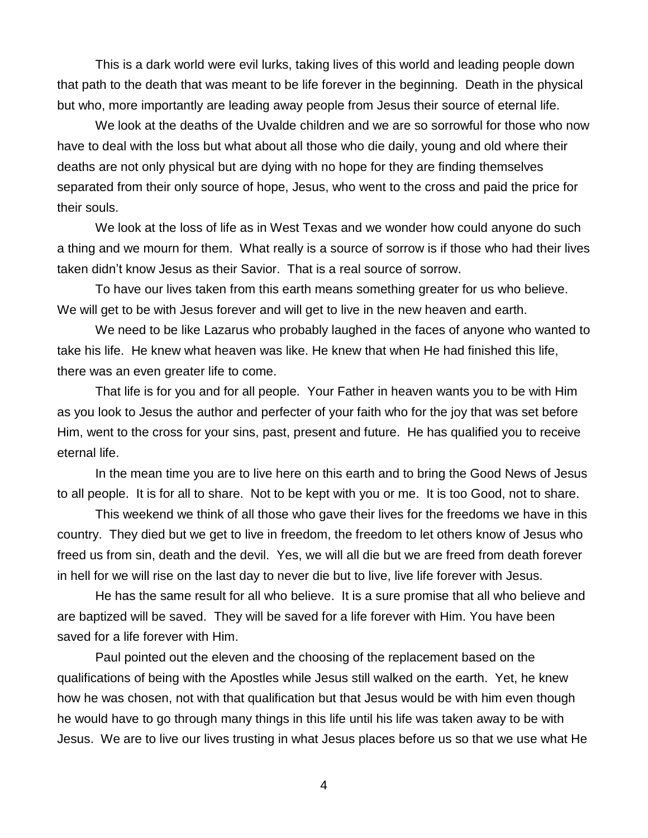This is a dark world were evil lurks, taking lives of this world and leading people down that path to the death that was meant to be life forever in the beginning. Death in the physical but who, more importantly are leading away people from Jesus their source of eternal life.

We look at the deaths of the Uvalde children and we are so sorrowful for those who now have to deal with the loss but what about all those who die daily, young and old where their deaths are not only physical but are dying with no hope for they are finding themselves separated from their only source of hope, Jesus, who went to the cross and paid the price for their souls.

We look at the loss of life as in West Texas and we wonder how could anyone do such a thing and we mourn for them. What really is a source of sorrow is if those who had their lives taken didn't know Jesus as their Savior. That is a real source of sorrow.

To have our lives taken from this earth means something greater for us who believe. We will get to be with Jesus forever and will get to live in the new heaven and earth.

We need to be like Lazarus who probably laughed in the faces of anyone who wanted to take his life. He knew what heaven was like. He knew that when He had finished this life, there was an even greater life to come.

That life is for you and for all people. Your Father in heaven wants you to be with Him as you look to Jesus the author and perfecter of your faith who for the joy that was set before Him, went to the cross for your sins, past, present and future. He has qualified you to receive eternal life.

In the mean time you are to live here on this earth and to bring the Good News of Jesus to all people. It is for all to share. Not to be kept with you or me. It is too Good, not to share.

This weekend we think of all those who gave their lives for the freedoms we have in this country. They died but we get to live in freedom, the freedom to let others know of Jesus who freed us from sin, death and the devil. Yes, we will all die but we are freed from death forever in hell for we will rise on the last day to never die but to live, live life forever with Jesus.

He has the same result for all who believe. It is a sure promise that all who believe and are baptized will be saved. They will be saved for a life forever with Him. You have been saved for a life forever with Him.

Paul pointed out the eleven and the choosing of the replacement based on the qualifications of being with the Apostles while Jesus still walked on the earth. Yet, he knew how he was chosen, not with that qualification but that Jesus would be with him even though he would have to go through many things in this life until his life was taken away to be with Jesus. We are to live our lives trusting in what Jesus places before us so that we use what He